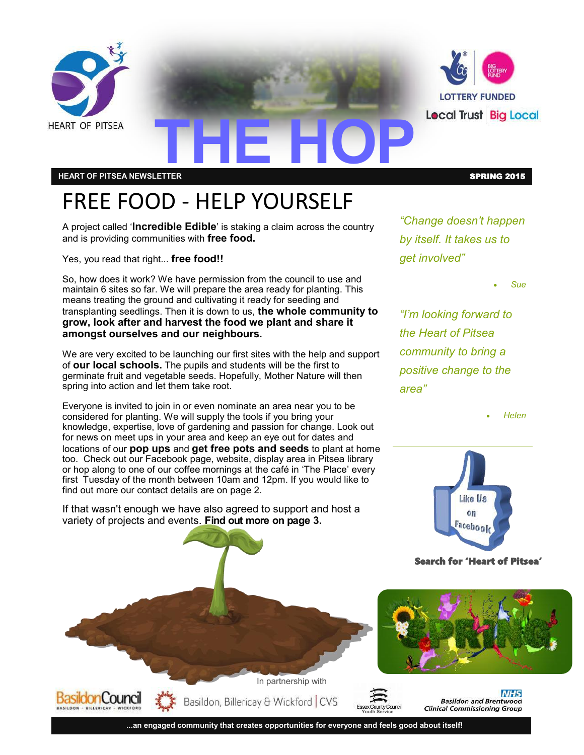

**HEART OF PITSEA NEWSLETTER** SPRING 2015

## FREE FOOD - HELP YOURSELF

A project called '**Incredible Edible**' is staking a claim across the country and is providing communities with **free food.**

Yes, you read that right... **free food!!** 

So, how does it work? We have permission from the council to use and maintain 6 sites so far. We will prepare the area ready for planting. This means treating the ground and cultivating it ready for seeding and transplanting seedlings. Then it is down to us, **the whole community to grow, look after and harvest the food we plant and share it amongst ourselves and our neighbours.**

We are very excited to be launching our first sites with the help and support of **our local schools.** The pupils and students will be the first to germinate fruit and vegetable seeds. Hopefully, Mother Nature will then spring into action and let them take root.

Everyone is invited to join in or even nominate an area near you to be considered for planting. We will supply the tools if you bring your knowledge, expertise, love of gardening and passion for change. Look out for news on meet ups in your area and keep an eye out for dates and locations of our **pop ups** and **get free pots and seeds** to plant at home too. Check out our Facebook page, website, display area in Pitsea library or hop along to one of our coffee mornings at the café in 'The Place' every first Tuesday of the month between 10am and 12pm. If you would like to find out more our contact details are on page 2.

If that wasn't enough we have also agreed to support and host a variety of projects and events. **Find out more on page 3.**

*"Change doesn't happen by itself. It takes us to get involved"*

*Sue*

*"I'm looking forward to the Heart of Pitsea community to bring a positive change to the area"*

*Helen*



Search for 'Heart of Pitsea'



**Youth Service**

**...an engaged community that creates opportunities for everyone and feels good about itself!**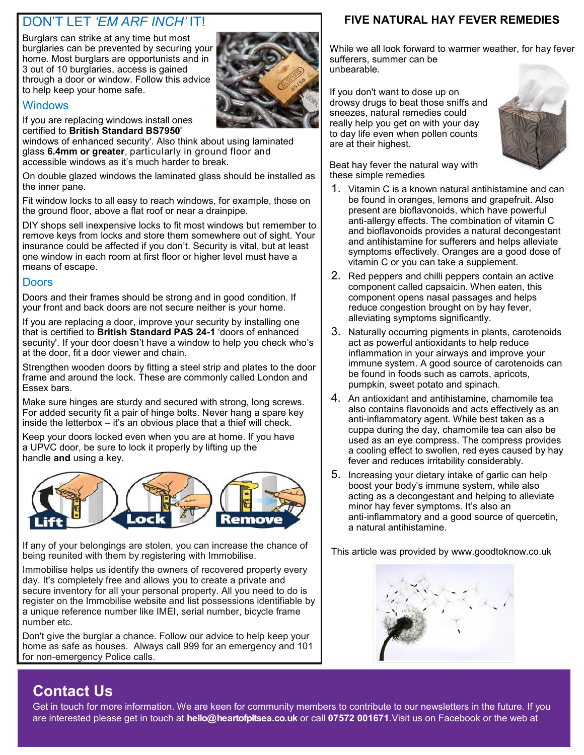## DON'T LET *'EM ARF INCH'* IT!

Burglars can strike at any time but most burglaries can be prevented by securing your home. Most burglars are opportunists and in 3 out of 10 burglaries, access is gained through a door or window. Follow this advice to help keep your home safe.

#### **Windows**

If you are replacing windows install ones certified to **British Standard BS7950**'

windows of enhanced security'. Also think about using laminated glass **6.4mm or greater**, particularly in ground floor and accessible windows as it's much harder to break.

On double glazed windows the laminated glass should be installed as the inner pane.

Fit window locks to all easy to reach windows, for example, those on the ground floor, above a flat roof or near a drainpipe.

DIY shops sell inexpensive locks to fit most windows but remember to remove keys from locks and store them somewhere out of sight. Your insurance could be affected if you don't. Security is vital, but at least one window in each room at first floor or higher level must have a means of escape.

#### **Doors**

Doors and their frames should be strong and in good condition. If your front and back doors are not secure neither is your home.

If you are replacing a door, improve your security by installing one that is certified to **British Standard PAS 24-1** 'doors of enhanced security'. If your door doesn't have a window to help you check who's at the door, fit a door viewer and chain.

Strengthen wooden doors by fitting a steel strip and plates to the door frame and around the lock. These are commonly called London and Essex bars.

Make sure hinges are sturdy and secured with strong, long screws. For added security fit a pair of hinge bolts. Never hang a spare key inside the letterbox – it's an obvious place that a thief will check.

Keep your doors locked even when you are at home. If you have a UPVC door, be sure to lock it properly by lifting up the handle **and** using a key.



If any of your belongings are stolen, you can increase the chance of being reunited with them by registering with Immobilise.

Immobilise helps us identify the owners of recovered property every day. It's completely free and allows you to create a private and secure inventory for all your personal property. All you need to do is register on the Immobilise website and list possessions identifiable by a unique reference number like IMEI, serial number, bicycle frame number etc.

Don't give the burglar a chance. Follow our advice to help keep your home as safe as houses. Always call 999 for an emergency and 101 for non-emergency Police calls.

### **FIVE NATURAL HAY FEVER REMEDIES**

While we all look forward to warmer weather, for hay fever sufferers, summer can be unbearable.

If you don't want to dose up on drowsy drugs to beat those sniffs and sneezes, natural remedies could really help you get on with your day to day life even when pollen counts are at their highest.

Beat hay fever the natural way with these simple remedies



- 1. Vitamin C is a known natural antihistamine and can be found in oranges, lemons and grapefruit. Also present are bioflavonoids, which have powerful anti-allergy effects. The combination of vitamin C and bioflavonoids provides a natural decongestant and antihistamine for sufferers and helps alleviate symptoms effectively. Oranges are a good dose of vitamin C or you can take a supplement.
- 2. Red peppers and chilli peppers contain an active component called capsaicin. When eaten, this component opens nasal passages and helps reduce congestion brought on by hay fever, alleviating symptoms significantly.
- 3. Naturally occurring pigments in plants, carotenoids act as powerful antioxidants to help reduce inflammation in your airways and improve your immune system. A good source of carotenoids can be found in foods such as carrots, apricots, pumpkin, sweet potato and spinach.
- 4. An antioxidant and antihistamine, chamomile tea also contains flavonoids and acts effectively as an anti-inflammatory agent. While best taken as a cuppa during the day, chamomile tea can also be used as an eye compress. The compress provides a cooling effect to swollen, red eyes caused by hay fever and reduces irritability considerably.
- 5. Increasing your dietary intake of garlic can help boost your body's immune system, while also acting as a decongestant and helping to alleviate minor hay fever symptoms. It's also an anti-inflammatory and a good source of quercetin, a natural antihistamine.

This article was provided by www.goodtoknow.co.uk



## **Contact Us**

Get in touch for more information. We are keen for community members to contribute to our newsletters in the future. If you are interested please get in touch at **hello@heartofpitsea.co.uk** or call **07572 001671**.Visit us on Facebook or the web at

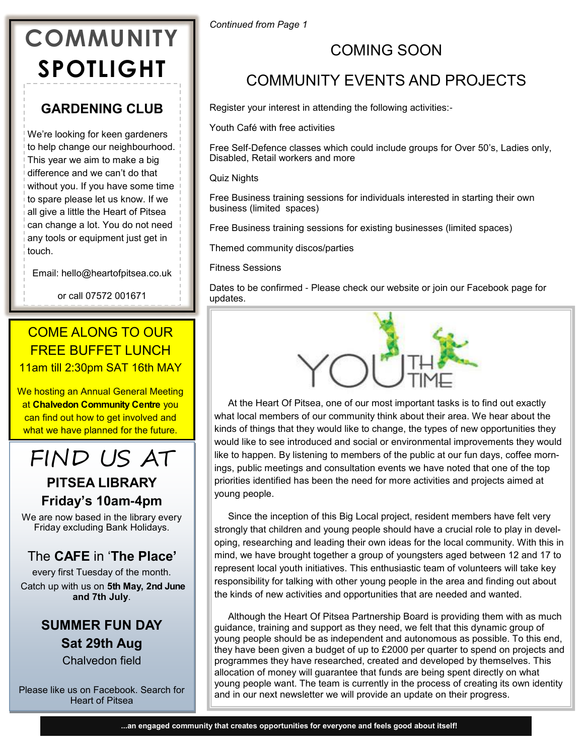## **COMMUNITY SPOTLIGHT**

## **GARDENING CLUB**

We're looking for keen gardeners to help change our neighbourhood. This year we aim to make a big difference and we can't do that without you. If you have some time to spare please let us know. If we all give a little the Heart of Pitsea can change a lot. You do not need any tools or equipment just get in touch.

Email: hello@heartofpitsea.co.uk

or call 07572 001671

## COME ALONG TO OUR FREE BUFFET LUNCH 11am till 2:30pm SAT 16th MAY

We hosting an Annual General Meeting at **Chalvedon Community Centre** you can find out how to get involved and what we have planned for the future.

## FIND US AT

## **PITSEA LIBRARY Friday's 10am-4pm**

We are now based in the library every Friday excluding Bank Holidays.

## The **CAFE** in '**The Place'**

every first Tuesday of the month.

Catch up with us on **5th May, 2nd June and 7th July**.

## **SUMMER FUN DAY Sat 29th Aug**  Chalvedon field

Please like us on Facebook. Search for Heart of Pitsea

*Continued from Page 1*

## COMING SOON

## COMMUNITY EVENTS AND PROJECTS

Register your interest in attending the following activities:-

Youth Café with free activities

Free Self-Defence classes which could include groups for Over 50's, Ladies only, Disabled, Retail workers and more

Quiz Nights

Free Business training sessions for individuals interested in starting their own business (limited spaces)

Free Business training sessions for existing businesses (limited spaces)

Themed community discos/parties

Fitness Sessions

Dates to be confirmed - Please check our website or join our Facebook page for updates.



At the Heart Of Pitsea, one of our most important tasks is to find out exactly what local members of our community think about their area. We hear about the kinds of things that they would like to change, the types of new opportunities they would like to see introduced and social or environmental improvements they would like to happen. By listening to members of the public at our fun days, coffee mornings, public meetings and consultation events we have noted that one of the top priorities identified has been the need for more activities and projects aimed at young people.

Since the inception of this Big Local project, resident members have felt very strongly that children and young people should have a crucial role to play in developing, researching and leading their own ideas for the local community. With this in mind, we have brought together a group of youngsters aged between 12 and 17 to represent local youth initiatives. This enthusiastic team of volunteers will take key responsibility for talking with other young people in the area and finding out about the kinds of new activities and opportunities that are needed and wanted.

Although the Heart Of Pitsea Partnership Board is providing them with as much guidance, training and support as they need, we felt that this dynamic group of young people should be as independent and autonomous as possible. To this end, they have been given a budget of up to £2000 per quarter to spend on projects and programmes they have researched, created and developed by themselves. This allocation of money will guarantee that funds are being spent directly on what young people want. The team is currently in the process of creating its own identity and in our next newsletter we will provide an update on their progress.